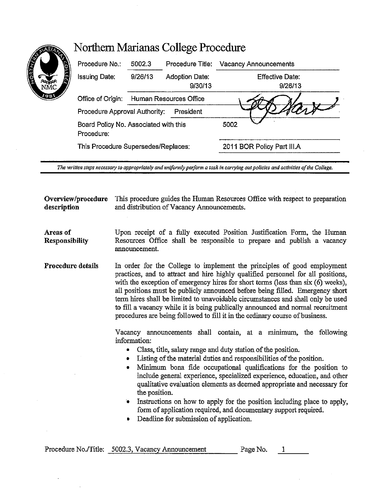| Procedure No.:                | 5002.3                                | Procedure Title:                 | Vacancy Announcements             |
|-------------------------------|---------------------------------------|----------------------------------|-----------------------------------|
| <b>Issuing Date:</b>          | 9/26/13                               | <b>Adoption Date:</b><br>9/30/13 | <b>Effective Date:</b><br>9/26/13 |
| Office of Origin:             | Human Resources Office                |                                  |                                   |
| Procedure Approval Authority: |                                       | President                        |                                   |
| Procedure:                    | Board Policy No. Associated with this |                                  | 5002                              |
|                               | This Procedure Supersedes/Replaces:   |                                  | 2011 BOR Policy Part III.A        |

The written steps necessary to appropriately and uniformly perform a task in carrying out policies and activities of the College.

**Overview/procedure** This procedure guides the Human Resources Office with respect to preparation **description** and distribution of Vacancy Announcements.

**Areas of Responsibility**  Upon receipt of a fully executed Position Justification Form, the Human Resources Office shall be responsible to prepare and publish a vacancy announcement.

**Procedure details**  In order for the College to implement the principles of good employment practices, and to attract and hire highly qualified personnel for all positions, with the exception of emergency hires for short terms (less than six  $(6)$  weeks), all positions must be publicly announced before being filled. Emergency short term hires shall be limited to unavoidable circumstances and shall only be used to fill a vacancy while it is being publically announced and normal recruitment procedures are being followed to fill it in the ordinary course of business.

> Vacancy announcements shall contain, at a minimum, the following information:

- Class, title, salary range and duty station of the position.
- Listing of the material duties and responsibilities of the position.
- Minimum bona fide occupational qualifications for the position to include general experience, specialized experience, education, and other qualitative evaluation elements as deemed appropriate and necessary for the position.
- Instructions on how to apply for the position including place to apply, form of application required, and documentary support required.
- Deadline for submission of application.

|  | Procedure No./Title: 5002.3, Vacancy Announcement | Page No. |  |
|--|---------------------------------------------------|----------|--|
|  |                                                   |          |  |